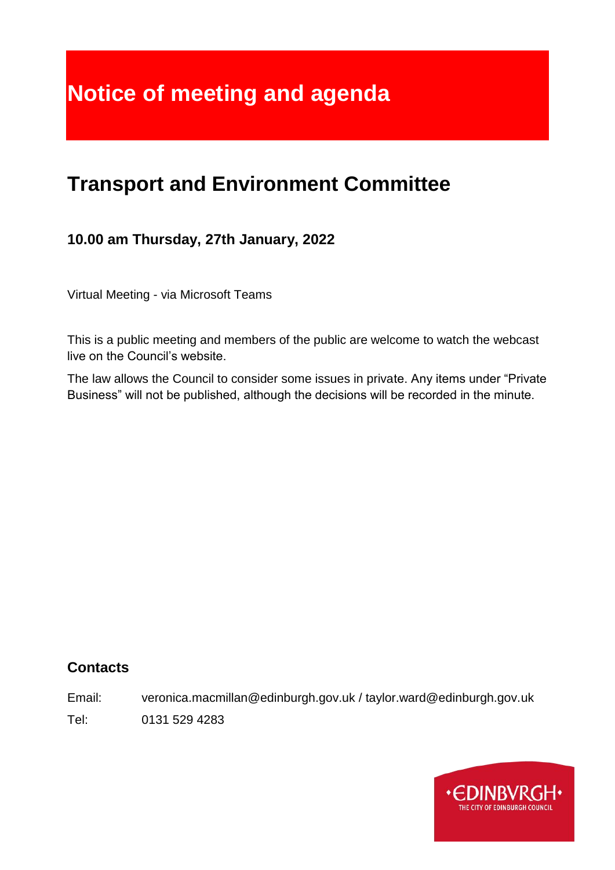# **Notice of meeting and agenda**

# **Transport and Environment Committee**

# **10.00 am Thursday, 27th January, 2022**

Virtual Meeting - via Microsoft Teams

This is a public meeting and members of the public are welcome to watch the webcast live on the Council's website.

The law allows the Council to consider some issues in private. Any items under "Private Business" will not be published, although the decisions will be recorded in the minute.

#### **Contacts**

Email: veronica.macmillan@edinburgh.gov.uk / taylor.ward@edinburgh.gov.uk

Tel: 0131 529 4283

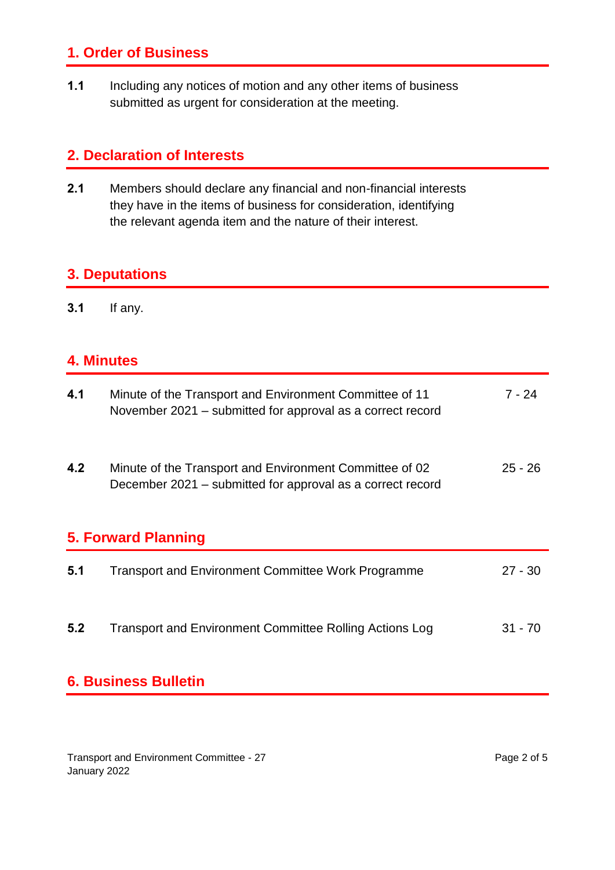# **1. Order of Business**

**1.1** Including any notices of motion and any other items of business submitted as urgent for consideration at the meeting.

#### **2. Declaration of Interests**

**2.1** Members should declare any financial and non-financial interests they have in the items of business for consideration, identifying the relevant agenda item and the nature of their interest.

#### **3. Deputations**

**3.1** If any.

#### **4. Minutes**

| 4.1                 | Minute of the Transport and Environment Committee of 11<br>November 2021 – submitted for approval as a correct record | 7 - 24    |  |
|---------------------|-----------------------------------------------------------------------------------------------------------------------|-----------|--|
| 4.2                 | Minute of the Transport and Environment Committee of 02<br>December 2021 – submitted for approval as a correct record | $25 - 26$ |  |
| 5. Forward Planning |                                                                                                                       |           |  |
| 5.1                 | <b>Transport and Environment Committee Work Programme</b>                                                             | $27 - 30$ |  |
| 5.2                 | Transport and Environment Committee Rolling Actions Log                                                               | $31 - 70$ |  |

# **6. Business Bulletin**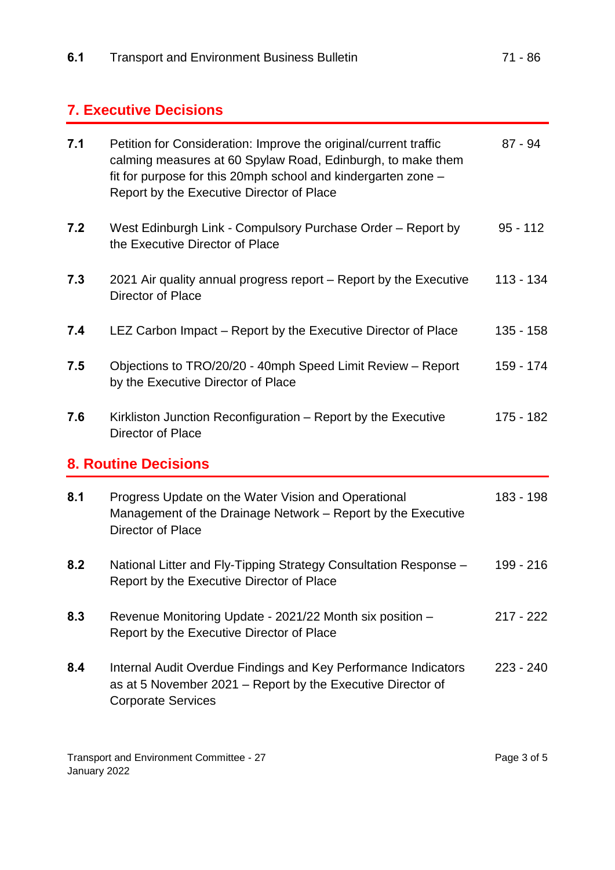# **7. Executive Decisions**

| 7.1 | Petition for Consideration: Improve the original/current traffic<br>calming measures at 60 Spylaw Road, Edinburgh, to make them<br>fit for purpose for this 20mph school and kindergarten zone -<br>Report by the Executive Director of Place | $87 - 94$   |
|-----|-----------------------------------------------------------------------------------------------------------------------------------------------------------------------------------------------------------------------------------------------|-------------|
| 7.2 | West Edinburgh Link - Compulsory Purchase Order - Report by<br>the Executive Director of Place                                                                                                                                                | $95 - 112$  |
| 7.3 | 2021 Air quality annual progress report – Report by the Executive<br>Director of Place                                                                                                                                                        | 113 - 134   |
| 7.4 | LEZ Carbon Impact – Report by the Executive Director of Place                                                                                                                                                                                 | 135 - 158   |
| 7.5 | Objections to TRO/20/20 - 40mph Speed Limit Review - Report<br>by the Executive Director of Place                                                                                                                                             | 159 - 174   |
| 7.6 | Kirkliston Junction Reconfiguration - Report by the Executive<br>Director of Place                                                                                                                                                            | 175 - 182   |
|     |                                                                                                                                                                                                                                               |             |
|     | <b>8. Routine Decisions</b>                                                                                                                                                                                                                   |             |
| 8.1 | Progress Update on the Water Vision and Operational<br>Management of the Drainage Network – Report by the Executive<br>Director of Place                                                                                                      | 183 - 198   |
| 8.2 | National Litter and Fly-Tipping Strategy Consultation Response -<br>Report by the Executive Director of Place                                                                                                                                 | 199 - 216   |
| 8.3 | Revenue Monitoring Update - 2021/22 Month six position -<br>Report by the Executive Director of Place                                                                                                                                         | $217 - 222$ |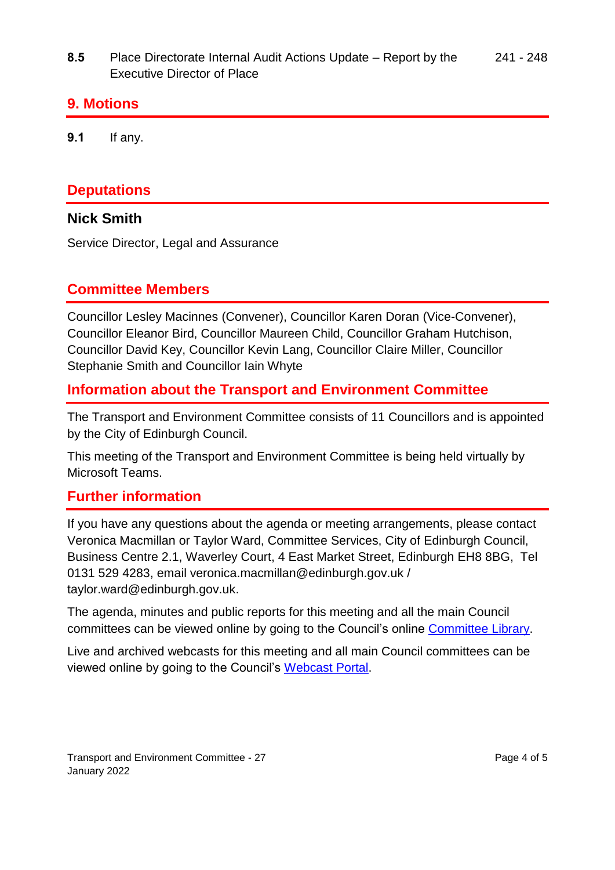**8.5** Place Directorate Internal Audit Actions Update – Report by the Executive Director of Place 241 - 248

#### **9. Motions**

**9.1** If any.

## **Deputations**

#### **Nick Smith**

Service Director, Legal and Assurance

## **Committee Members**

Councillor Lesley Macinnes (Convener), Councillor Karen Doran (Vice-Convener), Councillor Eleanor Bird, Councillor Maureen Child, Councillor Graham Hutchison, Councillor David Key, Councillor Kevin Lang, Councillor Claire Miller, Councillor Stephanie Smith and Councillor Iain Whyte

## **Information about the Transport and Environment Committee**

The Transport and Environment Committee consists of 11 Councillors and is appointed by the City of Edinburgh Council.

This meeting of the Transport and Environment Committee is being held virtually by Microsoft Teams.

#### **Further information**

If you have any questions about the agenda or meeting arrangements, please contact Veronica Macmillan or Taylor Ward, Committee Services, City of Edinburgh Council, Business Centre 2.1, Waverley Court, 4 East Market Street, Edinburgh EH8 8BG, Tel 0131 529 4283, email veronica.macmillan@edinburgh.gov.uk / taylor.ward@edinburgh.gov.uk.

The agenda, minutes and public reports for this meeting and all the main Council committees can be viewed online by going to the Council's online [Committee Library.](https://democracy.edinburgh.gov.uk/ieDocHome.aspx?bcr=1)

Live and archived webcasts for this meeting and all main Council committees can be viewed online by going to the Council's [Webcast Portal.](https://edinburgh.public-i.tv/core/portal/home)